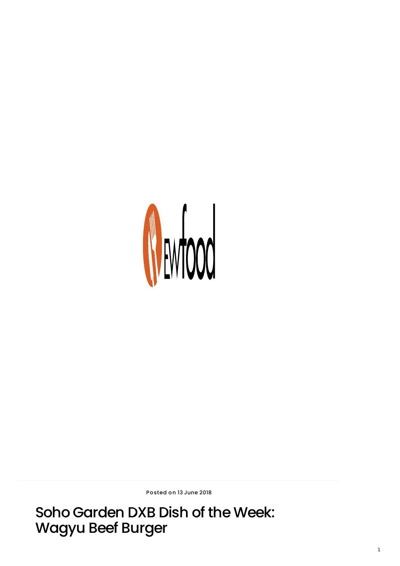

Posted on 13 June 2018

Soho Garden DXB Dish of the Week: Wagyu Beef Burger